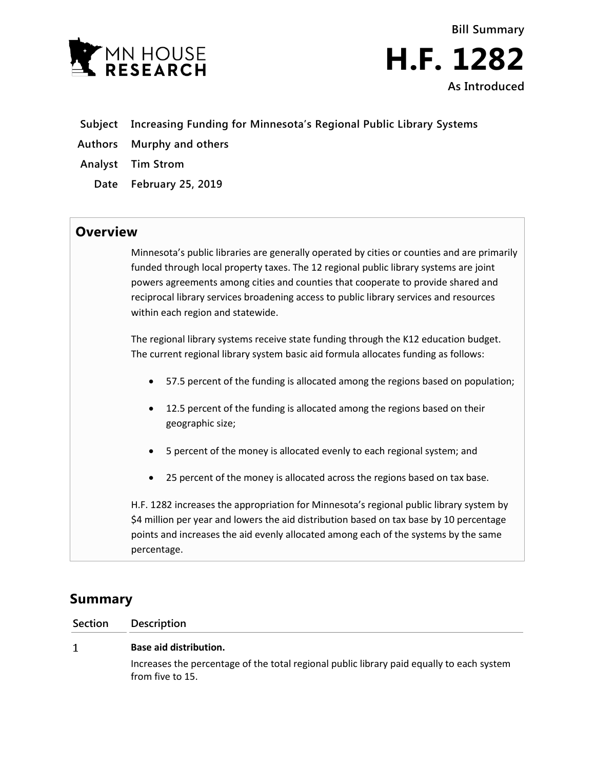



- **Subject Increasing Funding for Minnesota's Regional Public Library Systems**
- **Authors Murphy and others**
- **Analyst Tim Strom**
	- **Date February 25, 2019**

## **Overview**

Minnesota's public libraries are generally operated by cities or counties and are primarily funded through local property taxes. The 12 regional public library systems are joint powers agreements among cities and counties that cooperate to provide shared and reciprocal library services broadening access to public library services and resources within each region and statewide.

The regional library systems receive state funding through the K12 education budget. The current regional library system basic aid formula allocates funding as follows:

- 57.5 percent of the funding is allocated among the regions based on population;
- 12.5 percent of the funding is allocated among the regions based on their geographic size;
- 5 percent of the money is allocated evenly to each regional system; and
- 25 percent of the money is allocated across the regions based on tax base.

H.F. 1282 increases the appropriation for Minnesota's regional public library system by \$4 million per year and lowers the aid distribution based on tax base by 10 percentage points and increases the aid evenly allocated among each of the systems by the same percentage.

# **Summary**

**Section Description**

#### **Base aid distribution.**  $\mathbf{1}$

Increases the percentage of the total regional public library paid equally to each system from five to 15.